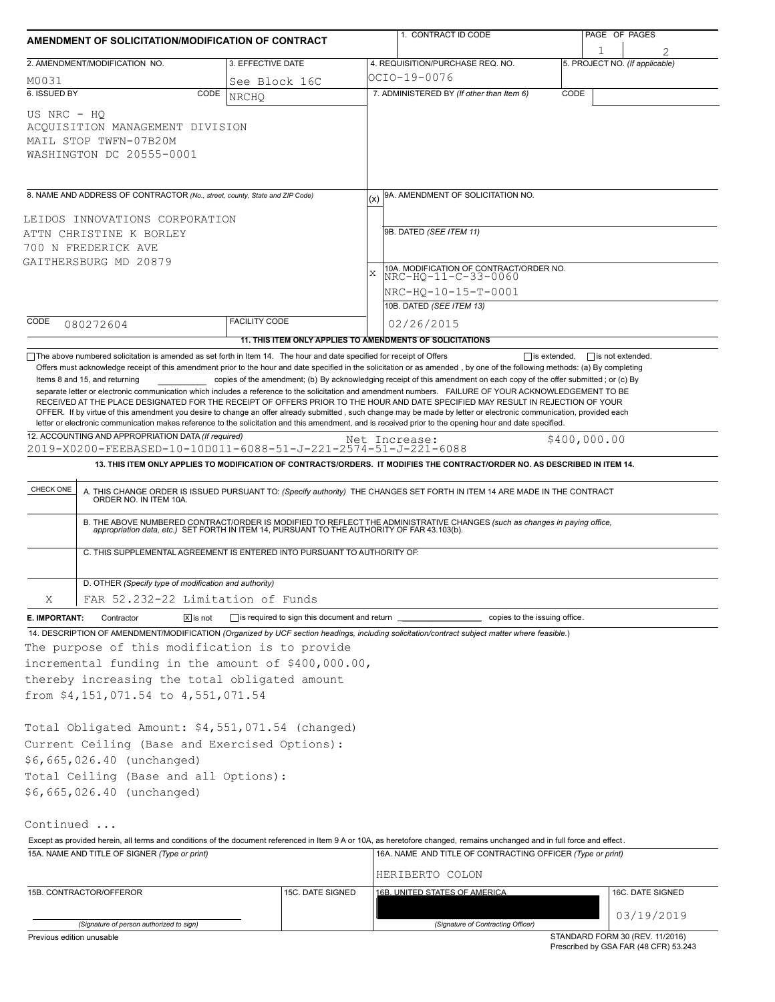| AMENDMENT OF SOLICITATION/MODIFICATION OF CONTRACT                                                                                                                                                                                                                                                                                                                                                                                                                                                                                                                                                                                                             |                      |               | 1. CONTRACT ID CODE                                                                                                                                                                                                                                                                                                                                                          |                                 | PAGE OF PAGES    |  |  |  |
|----------------------------------------------------------------------------------------------------------------------------------------------------------------------------------------------------------------------------------------------------------------------------------------------------------------------------------------------------------------------------------------------------------------------------------------------------------------------------------------------------------------------------------------------------------------------------------------------------------------------------------------------------------------|----------------------|---------------|------------------------------------------------------------------------------------------------------------------------------------------------------------------------------------------------------------------------------------------------------------------------------------------------------------------------------------------------------------------------------|---------------------------------|------------------|--|--|--|
| 2. AMENDMENT/MODIFICATION NO.                                                                                                                                                                                                                                                                                                                                                                                                                                                                                                                                                                                                                                  | 3. EFFECTIVE DATE    |               | 4. REQUISITION/PURCHASE REQ. NO.                                                                                                                                                                                                                                                                                                                                             | 5. PROJECT NO. (If applicable)  |                  |  |  |  |
|                                                                                                                                                                                                                                                                                                                                                                                                                                                                                                                                                                                                                                                                |                      |               | OCIO-19-0076                                                                                                                                                                                                                                                                                                                                                                 |                                 |                  |  |  |  |
| M0031<br>6. ISSUED BY<br>CODE                                                                                                                                                                                                                                                                                                                                                                                                                                                                                                                                                                                                                                  | See Block 16C        |               | 7. ADMINISTERED BY (If other than Item 6)                                                                                                                                                                                                                                                                                                                                    | CODE                            |                  |  |  |  |
| US NRC - HO<br>ACOUISITION MANAGEMENT DIVISION<br>MAIL STOP TWFN-07B20M<br>WASHINGTON DC 20555-0001                                                                                                                                                                                                                                                                                                                                                                                                                                                                                                                                                            | <b>NRCHO</b>         |               |                                                                                                                                                                                                                                                                                                                                                                              |                                 |                  |  |  |  |
| 8. NAME AND ADDRESS OF CONTRACTOR (No., street, county, State and ZIP Code)                                                                                                                                                                                                                                                                                                                                                                                                                                                                                                                                                                                    |                      |               | 9A. AMENDMENT OF SOLICITATION NO.                                                                                                                                                                                                                                                                                                                                            |                                 |                  |  |  |  |
|                                                                                                                                                                                                                                                                                                                                                                                                                                                                                                                                                                                                                                                                |                      |               |                                                                                                                                                                                                                                                                                                                                                                              |                                 |                  |  |  |  |
| LEIDOS INNOVATIONS CORPORATION<br>ATTN CHRISTINE K BORLEY                                                                                                                                                                                                                                                                                                                                                                                                                                                                                                                                                                                                      |                      |               | 9B. DATED (SEE ITEM 11)                                                                                                                                                                                                                                                                                                                                                      |                                 |                  |  |  |  |
| 700 N FREDERICK AVE                                                                                                                                                                                                                                                                                                                                                                                                                                                                                                                                                                                                                                            |                      |               |                                                                                                                                                                                                                                                                                                                                                                              |                                 |                  |  |  |  |
| GAITHERSBURG MD 20879                                                                                                                                                                                                                                                                                                                                                                                                                                                                                                                                                                                                                                          |                      |               |                                                                                                                                                                                                                                                                                                                                                                              |                                 |                  |  |  |  |
|                                                                                                                                                                                                                                                                                                                                                                                                                                                                                                                                                                                                                                                                |                      | $\bar{X}$     | 10A. MODIFICATION OF CONTRACT/ORDER NO.<br>NRC-HO-11-C-33-0060                                                                                                                                                                                                                                                                                                               |                                 |                  |  |  |  |
|                                                                                                                                                                                                                                                                                                                                                                                                                                                                                                                                                                                                                                                                |                      |               | NRC-HO-10-15-T-0001                                                                                                                                                                                                                                                                                                                                                          |                                 |                  |  |  |  |
|                                                                                                                                                                                                                                                                                                                                                                                                                                                                                                                                                                                                                                                                |                      |               | 10B. DATED (SEE ITEM 13)                                                                                                                                                                                                                                                                                                                                                     |                                 |                  |  |  |  |
| CODE<br>080272604                                                                                                                                                                                                                                                                                                                                                                                                                                                                                                                                                                                                                                              | <b>FACILITY CODE</b> |               | 02/26/2015                                                                                                                                                                                                                                                                                                                                                                   |                                 |                  |  |  |  |
|                                                                                                                                                                                                                                                                                                                                                                                                                                                                                                                                                                                                                                                                |                      |               | 11. THIS ITEM ONLY APPLIES TO AMENDMENTS OF SOLICITATIONS                                                                                                                                                                                                                                                                                                                    |                                 |                  |  |  |  |
| Items 8 and 15, and returning<br>separate letter or electronic communication which includes a reference to the solicitation and amendment numbers. FAILURE OF YOUR ACKNOWLEDGEMENT TO BE<br>RECEIVED AT THE PLACE DESIGNATED FOR THE RECEIPT OF OFFERS PRIOR TO THE HOUR AND DATE SPECIFIED MAY RESULT IN REJECTION OF YOUR<br>OFFER. If by virtue of this amendment you desire to change an offer already submitted, such change may be made by letter or electronic communication, provided each<br>letter or electronic communication makes reference to the solicitation and this amendment, and is received prior to the opening hour and date specified. |                      |               | copies of the amendment; (b) By acknowledging receipt of this amendment on each copy of the offer submitted; or (c) By                                                                                                                                                                                                                                                       |                                 |                  |  |  |  |
| 12. ACCOUNTING AND APPROPRIATION DATA (If required)<br>2019-X0200-FEEBASED-10-10D011-6088-51-J-221-2574-51-J-221-6088                                                                                                                                                                                                                                                                                                                                                                                                                                                                                                                                          |                      | Net Increase: |                                                                                                                                                                                                                                                                                                                                                                              | \$400,000.00                    |                  |  |  |  |
|                                                                                                                                                                                                                                                                                                                                                                                                                                                                                                                                                                                                                                                                |                      |               | 13. THIS ITEM ONLY APPLIES TO MODIFICATION OF CONTRACTS/ORDERS. IT MODIFIES THE CONTRACT/ORDER NO. AS DESCRIBED IN ITEM 14.                                                                                                                                                                                                                                                  |                                 |                  |  |  |  |
| CHECK ONE<br>C. THIS SUPPLEMENTAL AGREEMENT IS ENTERED INTO PURSUANT TO AUTHORITY OF:                                                                                                                                                                                                                                                                                                                                                                                                                                                                                                                                                                          |                      |               | A. THIS CHANGE ORDER IS ISSUED PURSUANT TO: (Specify authority) THE CHANGES SET FORTH IN ITEM 14 ARE MADE IN THE CONTRACT ORDER NO. IN ITEM 10A.<br>B. THE ABOVE NUMBERED CONTRACT/ORDER IS MODIFIED TO REFLECT THE ADMINISTRATIVE CHANGES (such as changes in paying office,<br>appropriation data, etc.) SET FORTH IN ITEM 14, PURSUANT TO THE AUTHORITY OF FAR 43.103(b). |                                 |                  |  |  |  |
| D. OTHER (Specify type of modification and authority)                                                                                                                                                                                                                                                                                                                                                                                                                                                                                                                                                                                                          |                      |               |                                                                                                                                                                                                                                                                                                                                                                              |                                 |                  |  |  |  |
| Χ<br>FAR 52.232-22 Limitation of Funds                                                                                                                                                                                                                                                                                                                                                                                                                                                                                                                                                                                                                         |                      |               |                                                                                                                                                                                                                                                                                                                                                                              |                                 |                  |  |  |  |
| $\sqrt{x}$ is not<br>E. IMPORTANT:<br>Contractor                                                                                                                                                                                                                                                                                                                                                                                                                                                                                                                                                                                                               |                      |               | is required to sign this document and return ___________________________________<br>copies to the issuing office.                                                                                                                                                                                                                                                            |                                 |                  |  |  |  |
| 14. DESCRIPTION OF AMENDMENT/MODIFICATION (Organized by UCF section headings, including solicitation/contract subject matter where feasible.)                                                                                                                                                                                                                                                                                                                                                                                                                                                                                                                  |                      |               |                                                                                                                                                                                                                                                                                                                                                                              |                                 |                  |  |  |  |
| The purpose of this modification is to provide<br>incremental funding in the amount of \$400,000.00,<br>thereby increasing the total obligated amount<br>from \$4,151,071.54 to 4,551,071.54<br>Total Obligated Amount: \$4,551,071.54 (changed)<br>Current Ceiling (Base and Exercised Options):<br>\$6,665,026.40 (unchanged)<br>Total Ceiling (Base and all Options):<br>\$6,665,026.40 (unchanged)<br>Continued                                                                                                                                                                                                                                            |                      |               |                                                                                                                                                                                                                                                                                                                                                                              |                                 |                  |  |  |  |
| Except as provided herein, all terms and conditions of the document referenced in Item 9 A or 10A, as heretofore changed, remains unchanged and in full force and effect.                                                                                                                                                                                                                                                                                                                                                                                                                                                                                      |                      |               |                                                                                                                                                                                                                                                                                                                                                                              |                                 |                  |  |  |  |
| 15A. NAME AND TITLE OF SIGNER (Type or print)                                                                                                                                                                                                                                                                                                                                                                                                                                                                                                                                                                                                                  |                      |               | 16A. NAME AND TITLE OF CONTRACTING OFFICER (Type or print)                                                                                                                                                                                                                                                                                                                   |                                 |                  |  |  |  |
|                                                                                                                                                                                                                                                                                                                                                                                                                                                                                                                                                                                                                                                                |                      |               | HERIBERTO COLON                                                                                                                                                                                                                                                                                                                                                              |                                 |                  |  |  |  |
| 15B. CONTRACTOR/OFFEROR                                                                                                                                                                                                                                                                                                                                                                                                                                                                                                                                                                                                                                        | 15C. DATE SIGNED     |               | 16B. UNITED STATES OF AMERICA                                                                                                                                                                                                                                                                                                                                                |                                 | 16C. DATE SIGNED |  |  |  |
| (Signature of person authorized to sign)                                                                                                                                                                                                                                                                                                                                                                                                                                                                                                                                                                                                                       |                      |               | (Signature of Contracting Officer)                                                                                                                                                                                                                                                                                                                                           |                                 | 03/19/2019       |  |  |  |
| Previous edition unusable                                                                                                                                                                                                                                                                                                                                                                                                                                                                                                                                                                                                                                      |                      |               |                                                                                                                                                                                                                                                                                                                                                                              | STANDARD FORM 30 (REV. 11/2016) |                  |  |  |  |

Prescribed by GSA FAR (48 CFR) 53.243